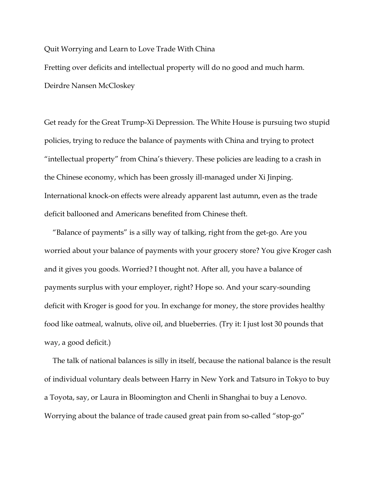Quit Worrying and Learn to Love Trade With China Fretting over deficits and intellectual property will do no good and much harm. Deirdre Nansen McCloskey

Get ready for the Great Trump-Xi Depression. The White House is pursuing two stupid policies, trying to reduce the balance of payments with China and trying to protect "intellectual property" from China's thievery. These policies are leading to a crash in the Chinese economy, which has been grossly ill-managed under Xi Jinping. International knock-on effects were already apparent last autumn, even as the trade deficit ballooned and Americans benefited from Chinese theft.

"Balance of payments" is a silly way of talking, right from the get-go. Are you worried about your balance of payments with your grocery store? You give Kroger cash and it gives you goods. Worried? I thought not. After all, you have a balance of payments surplus with your employer, right? Hope so. And your scary-sounding deficit with Kroger is good for you. In exchange for money, the store provides healthy food like oatmeal, walnuts, olive oil, and blueberries. (Try it: I just lost 30 pounds that way, a good deficit.)

The talk of national balances is silly in itself, because the national balance is the result of individual voluntary deals between Harry in New York and Tatsuro in Tokyo to buy a Toyota, say, or Laura in Bloomington and Chenli in Shanghai to buy a Lenovo. Worrying about the balance of trade caused great pain from so-called "stop-go"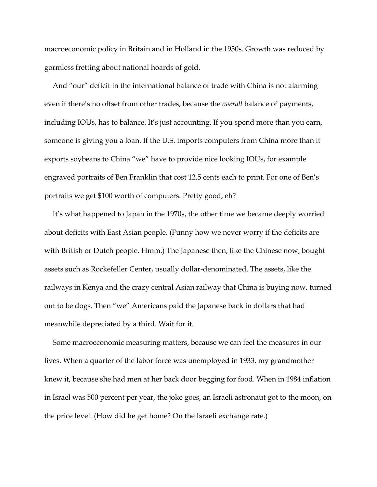macroeconomic policy in Britain and in Holland in the 1950s. Growth was reduced by gormless fretting about national hoards of gold.

And "our" deficit in the international balance of trade with China is not alarming even if there's no offset from other trades, because the *overall* balance of payments, including IOUs, has to balance. It's just accounting. If you spend more than you earn, someone is giving you a loan. If the U.S. imports computers from China more than it exports soybeans to China "we" have to provide nice looking IOUs, for example engraved portraits of Ben Franklin that cost 12.5 cents each to print. For one of Ben's portraits we get \$100 worth of computers. Pretty good, eh?

It's what happened to Japan in the 1970s, the other time we became deeply worried about deficits with East Asian people. (Funny how we never worry if the deficits are with British or Dutch people. Hmm.) The Japanese then, like the Chinese now, bought assets such as Rockefeller Center, usually dollar-denominated. The assets, like the railways in Kenya and the crazy central Asian railway that China is buying now, turned out to be dogs. Then "we" Americans paid the Japanese back in dollars that had meanwhile depreciated by a third. Wait for it.

Some macroeconomic measuring matters, because we can feel the measures in our lives. When a quarter of the labor force was unemployed in 1933, my grandmother knew it, because she had men at her back door begging for food. When in 1984 inflation in Israel was 500 percent per year, the joke goes, an Israeli astronaut got to the moon, on the price level. (How did he get home? On the Israeli exchange rate.)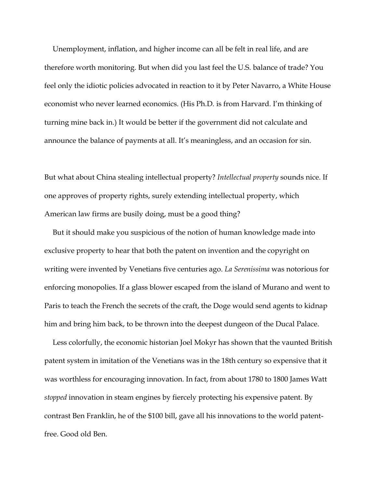Unemployment, inflation, and higher income can all be felt in real life, and are therefore worth monitoring. But when did you last feel the U.S. balance of trade? You feel only the idiotic policies advocated in reaction to it by Peter Navarro, a White House economist who never learned economics. (His Ph.D. is from Harvard. I'm thinking of turning mine back in.) It would be better if the government did not calculate and announce the balance of payments at all. It's meaningless, and an occasion for sin.

But what about China stealing intellectual property? *Intellectual property* sounds nice. If one approves of property rights, surely extending intellectual property, which American law firms are busily doing, must be a good thing?

But it should make you suspicious of the notion of human knowledge made into exclusive property to hear that both the patent on invention and the copyright on writing were invented by Venetians five centuries ago. *La Serenissima* was notorious for enforcing monopolies. If a glass blower escaped from the island of Murano and went to Paris to teach the French the secrets of the craft, the Doge would send agents to kidnap him and bring him back, to be thrown into the deepest dungeon of the Ducal Palace.

Less colorfully, the economic historian Joel Mokyr has shown that the vaunted British patent system in imitation of the Venetians was in the 18th century so expensive that it was worthless for encouraging innovation. In fact, from about 1780 to 1800 James Watt *stopped* innovation in steam engines by fiercely protecting his expensive patent. By contrast Ben Franklin, he of the \$100 bill, gave all his innovations to the world patentfree. Good old Ben.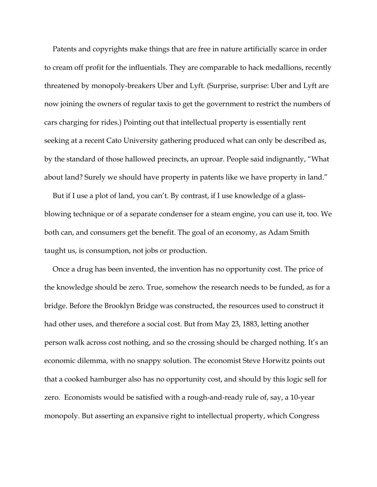Patents and copyrights make things that are free in nature artificially scarce in order to cream off profit for the influentials. They are comparable to hack medallions, recently threatened by monopoly-breakers Uber and Lyft. (Surprise, surprise: Uber and Lyft are now joining the owners of regular taxis to get the government to restrict the numbers of cars charging for rides.) Pointing out that intellectual property is essentially rent seeking at a recent Cato University gathering produced what can only be described as, by the standard of those hallowed precincts, an uproar. People said indignantly, "What about land? Surely we should have property in patents like we have property in land."

But if I use a plot of land, you can't. By contrast, if I use knowledge of a glassblowing technique or of a separate condenser for a steam engine, you can use it, too. We both can, and consumers get the benefit. The goal of an economy, as Adam Smith taught us, is consumption, not jobs or production.

Once a drug has been invented, the invention has no opportunity cost. The price of the knowledge should be zero. True, somehow the research needs to be funded, as for a bridge. Before the Brooklyn Bridge was constructed, the resources used to construct it had other uses, and therefore a social cost. But from May 23, 1883, letting another person walk across cost nothing, and so the crossing should be charged nothing. It's an economic dilemma, with no snappy solution. The economist Steve Horwitz points out that a cooked hamburger also has no opportunity cost, and should by this logic sell for zero. Economists would be satisfied with a rough-and-ready rule of, say, a 10-year monopoly. But asserting an expansive right to intellectual property, which Congress